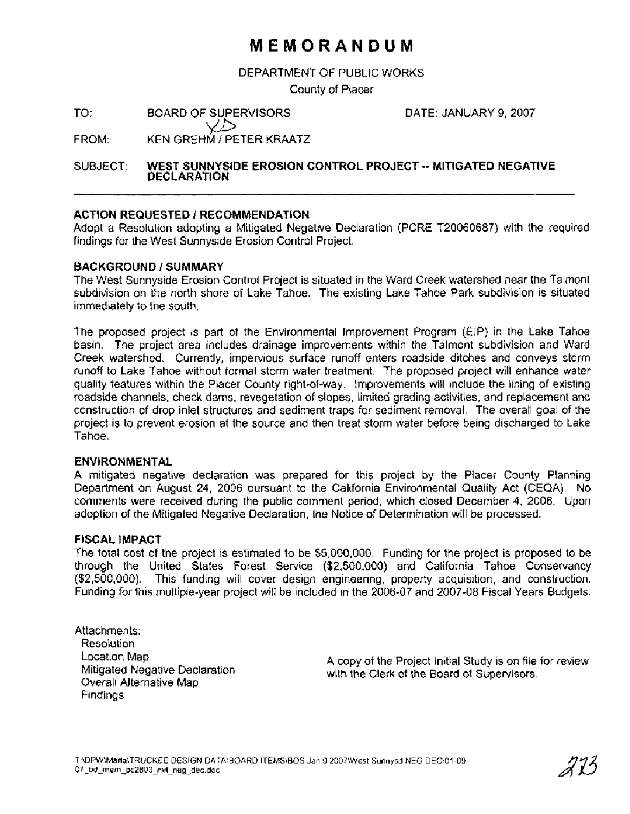# **MEMORANDUM**

DEPARTMENT OF PUBLIC WORKS

County of Placer

TO: BOARD OF SUPERVISORS

DATE: JANUARY 9,2007

 $\bigotimes_{\mathsf{FROM}}$ :  $\bigotimes_{\mathsf{KEN}} \bigotimes_{\mathsf{GREHM}}$  / PETER KRAATZ

### SUBJECT: **WEST SUNNYSIDE EROSION CONTROL PROJECT** -- **MITIGATED NEGATIVE DECLARATION**

## **ACTION REQUESTED** I **RECOMMENDATION**

Adopt a Resolution adopting a Mitigated Negative Declaration (PCRE T20060687) with the required findings for the West Sunnyside Erosion Control Project.

### **BACKGROUND** I **SUMMARY**

The West Sunnyside Erosion Control Project is situated in the Ward Creek watershed near the Talmont subdivision on the north shore of Lake Tahoe. The existing Lake Tahoe Park subdivision is situated immediately to the south.

The proposed project is part of the Environmental Improvement Program (EIP) in the Lake Tahoe basin. The project area includes drainage improvements within the Talmont subdivision and Ward Creek watershed. Currently, impervious surface runoff enters roadside ditches and conveys storm runoff to Lake Tahoe without formal storm water treatment. The proposed project will enhance water quality features within the Placer County right-of-way. Improvements will include the lining of existing roadside channels, check dams, revegetation of slopes, limited grading activities, and replacement and construction of drop inlet structures and sediment traps for sediment removal. The overall goal of the project is to prevent erosion at the source and then treat storm water before being discharged to Lake Tahoe.

### **ENVIRONMENTAL**

A mitigated negative declaration was prepared for this project by the Placer County Planning Department on August 24, 2006 pursuant to the California Environmental Quality Act (CEQA). No comments were received during the public comment period, which. closed December 4, 2006. Upon adoption of the Mitigated Negative Declaration, the Notice of Determination will be processed.

### **FISCAL IMPACT**

The total cost of the project is estimated to be \$5,000,000. Funding for the project is proposed to be through the United States Forest Service (\$2,500,000) and California Tahoe Conservancy (\$2,500,000). This funding will cover design engineering, property acquisition, and construction. Funding for this multiple-year project will be included in the 2006-07 and 2007-08 Fiscal Years Budgets.

Attachments: Resolution Location Map Mitigated Negative Declaration Overall Alternative Map Findings

A copy of the Project Initial Study is on file for review with the Clerk of the Board of Supervisors.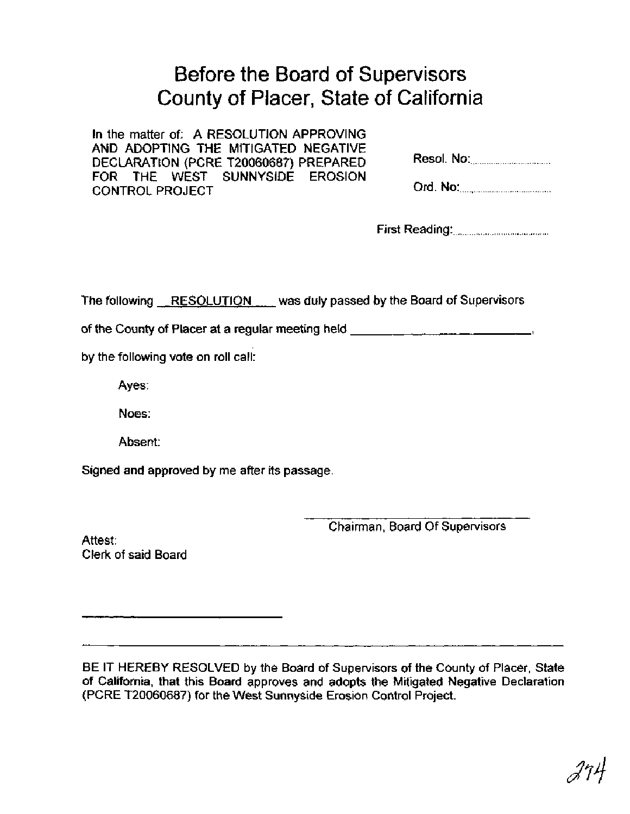# Before the Board of Supervisors County of Placer, State of California

In the matter of: A RESOLUTION APPROVING AND ADOPTING THE MITIGATED NEGATIVE DECLARATION (PCRE T20060687) PREPARED FOR THE WEST SUNNYSIDE EROSION CONTROL PROJECT

| Resol. No: 2008 |
|-----------------|
|                 |

|--|--|

The following RESOLUTION was duly passed by the Board of Supervisors

of the County of Placer at a regular meeting held **for the country of Placer at a regular meeting held** 

by the following vote on roll call:

Ayes:

Noes:

Absent:

Signed and approved by me after its passage.

Chairman, Board Of Supervisors

Attest: Clerk of said Board

BE IT HEREBY RESOLVED by the Board of Supervisors of the County of Placer, State of California, that this Board approves and adopts the Mitigated Negative Declaration (PCRE T20060687) for the West Sunnyside Erosion Control Project.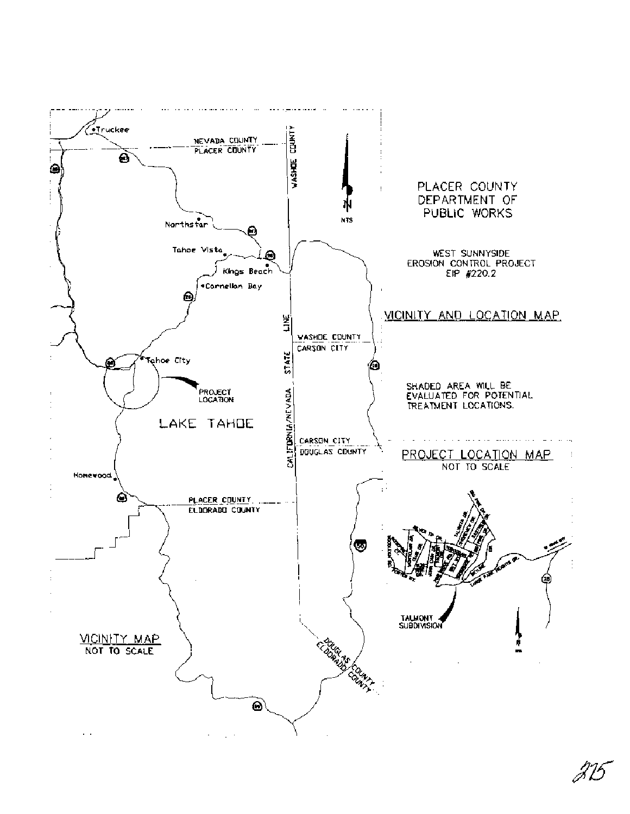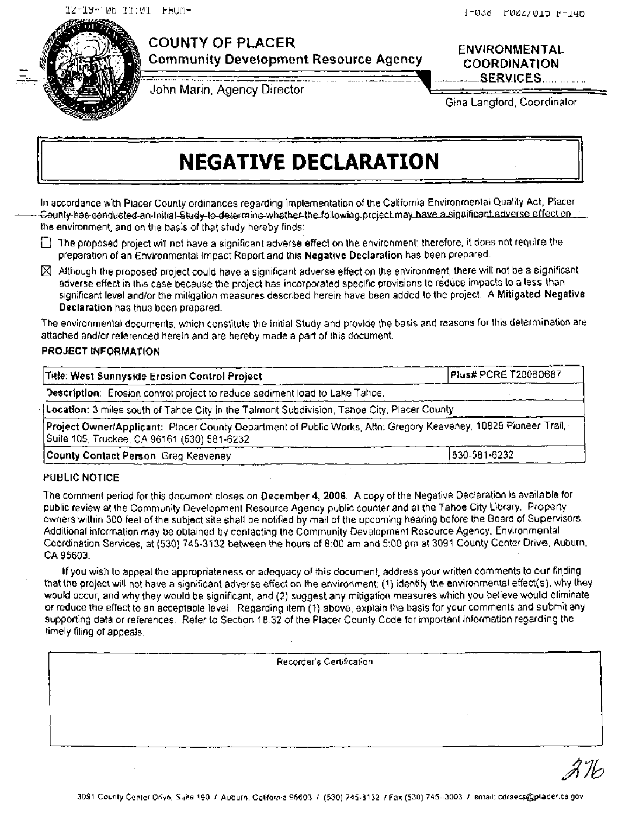

# **COUNTY OF PLACER**

**Community Development Resource Agency** 

**ENVIRONMENTAL COORDINATION**  ..... - .... **---SERVIGES..** ............ ,

................... ........-..-- .......... John Marin, Agency Director

Gina Langford, Coordinator

# **NEGATIVE DECLARATION**

In accordance with Placer County ordinances regarding implementation of the California Environmental Quality **Act,** Placer  $-6$ eunty-has-conducted-an-lnitial-Study-to-determing-whether-the-following-project may\_have-a\_significant.adverse-effect on the environment, and on the basis of that study hereby finds:

- The proposed project will not have a significant adverse effect on the environment; therefore, it does not require the preparation of an Environmental Impact Report and this Negative Declaration has been prepared.
- $\boxtimes$  Although the proposed project could have a significant adverse effect on the environment, there will not be a significant adverse effect in this case because the project has incorporated specific provisions to reduce impacts 10 a less than significant level and/or the mitigation measures described herein have been added to the project. A **Mitigated** Negative Declaration has thus been prepared.

The environmental documents, which constitute the Initial Study and provide the basis and reasons for this determination are attached and/or referenced herein and are hereby made a part of this document.

### PROJECT INFORMATION

| Title: West Sunnyside Erosion Control Project                                                                                                                  | Plus# PCRE T20060687 |
|----------------------------------------------------------------------------------------------------------------------------------------------------------------|----------------------|
| Description: Erosion control project to reduce sediment load to Lake Tahoe.                                                                                    |                      |
| [Location: 3 miles south of Tahoe City in the Talmont Subdivision, Tahoe City, Placer County                                                                   |                      |
| Project Owner/Applicant: Placer County Department of Public Works, Attn: Gregory Keaveney, 10825 Pioneer Trail,<br>Suite 105, Truckee, CA 96161 (530) 581-6232 |                      |
| County Contact Person, Greg Keaveney                                                                                                                           | 1530-581-6232        |

### **PUBLIC NOTICE**

The comment period for this document closes on December **4,2006.** A copy of the Negative Declaration is available for public review at the Community Development Resource Agency public counter and at the Tahoe City Library. Properly owners within 300 feet of the subject site shall be notified by mail of the upcoming hearing before the Board of Supervisors. Additional information may be obtained by contacting the Community Development Resource Agency, Environmental Coordination Services, **at** (530) 745-3132 beween the hours of **8:00** am and 5:00 pm at 3091 County Center Drive, Auburn, CA 95603.

If you wish to appeal the appropriateness or adequacy of this document, address your written comments to our finding that the project will not have a significant adverse effect on the environment: (1) identify the environmental effect(s), why they would occur, and why they would be significant, and (2) suggest **any** mitigation measures which you believe would eliminate or reduce the effect to an acceptable level. Regarding item (1) above, explain the basis for your comments and submit any supporting data or references. Refer to Section 18.32 of the Placer County Code for important information regarding the timely filing of appeals.

Recorder's Certification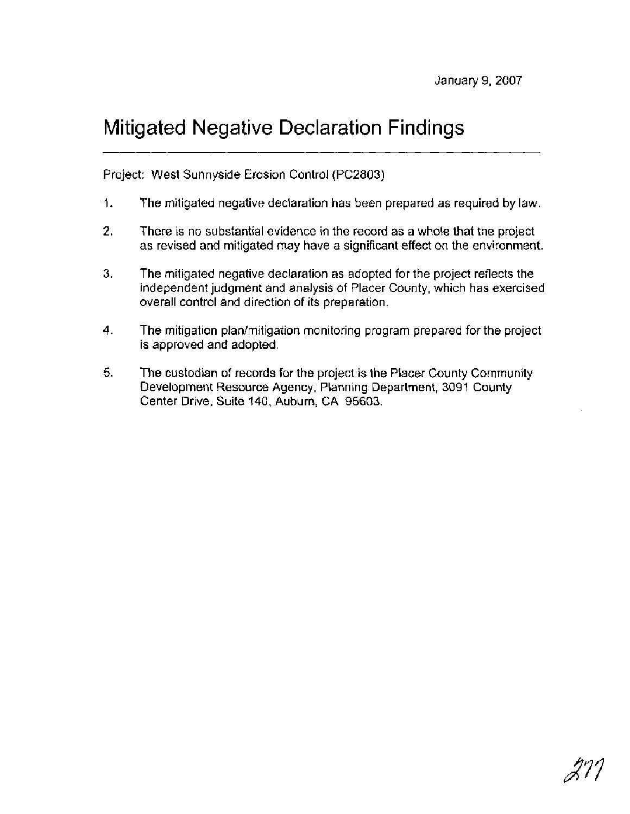# Mitigated Negative Declaration Findings

Project: West Sunnyside Erosion Control (PC2803)

- I. The mitigated negative declaration has been prepared as required by law.
- 2. There is no substantial evidence in the record as a whole that the project as revised and mitigated may have a significant effect on the environment.
- 3. The mitigated negative declaration as adopted for the project reflects the independent judgment and analysis of Placer County, which has exercised overall control and direction of its preparation.
- 4. The mitigation plan/mitigation monitoring program prepared for the project is approved and adopted.
- 5. The custodian of records for the project is the Placer County Community Development Resource Agency, Planning Department, 3091 County Center Drive, Suite 140, Auburn, CA 95603.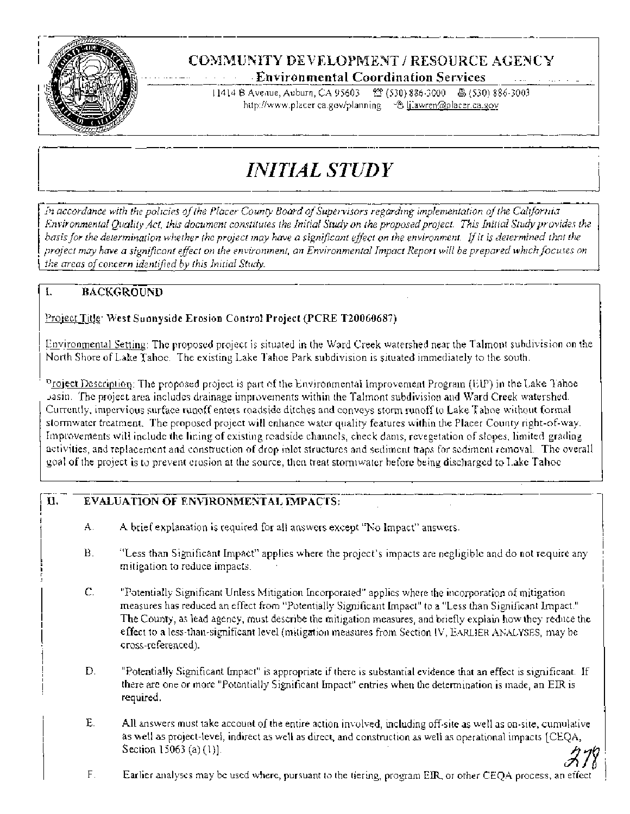

# COMMUNfTY DEVELOPMENT / RESOURCE **AGENCY**   $-$  **Environmental Coordination Services**

11414 B Avenue, Auburn, CA 95603 <sup>82</sup> (530) 836-3000 8 (530) 836-3003 http://www.placer ca.gov/planning <sup>a ...</sup> @ likawren@placer.ca.gov

# *INITIAL STUDY*

In *accordance with the policies of the Placer County Board of Supervisors regarding implementation of the California Environmental Quality Act, this document constitutes the Initial Study on the proposed project. This Initial Study provides the* basis for the determination whether the project may have a significant effect on the environment. If it is determined that the *project may have a significant effect on the environment, an Environmental Impact Report will be prepared which focuses on I the areas ofconcern identified* bv *this Initial Stuh.* 

# **I. BACKGROUND**

## I Proiect Title: **West Suonyside Erosion Control Project (PCRE T20060687)**

Environmental Setting: The proposed project is situated in the Ward Creek watershed near the Talmont subdivision on the North Shore of Lake Tahoe. The existing Lake Tahoe Park subdivision is situated immediately to the south.

 $^{\rm n}$ roject Description: The proposed project is part of the Environmental Improvement Program (EIP) in the Lake Tahoeasin. The project area includes drainage improvements within the Talmont subdivision and Ward Creek watershed. Currently, impervious surface runoff enters roadside ditches and conveys storm runoff to Lake Tahoe without formal stormwater treatment. The proposed project will enhance water quality features within the Placer County right-of-way. Improvements will include the lining of existing roadside channels, check dams, revegetation of slopes, limited grading activities, and replacement and construction of drop inlet structures and sediment traps for sediment removal. The overall goal of the project is to prevent erosion at the source, then treat stormwater before being discharged to Lake Tahoe.

# **rJ. EVALUATION OF ENVlRONMENTAL IMPACTS:**

- **A.** A brief explanation is required for all answers except "No Impact" answers.
- B. "Less than Significant Impact" applies where the project's impacts are negligible and do not require any mitigation to reduce impacts.
- C. "Potentially Significant Unless Mitigation Incorporated" applies where the incorporation of mitigation measures has reduced an effect from "Potentially Significant Impact" to a "Less than Significant Impact." The County, as lead agency, must describe the mitigation measures, and briefly explain how they reduce the effect to a less-than-significant level (mitigation measures from Section IV, EARLIER ANALYSES, may be cross-referenced).
- D. "Potentially Significant Impact" is appropriate if there is substantial evidence that an effect is significant. If there are one or more "Potentially Significant Impact" entries when the determination is made, an EIR is required.
- E. All answers must take account of the entire action involved, including off-site as well as on-site, cumulative as well as project-level, indirect as well as direct, and construction as well as operational impacts [CEQA, Section 15063 (a) (1)].<br>F. Earlier analyses may be used where, pursuant to the tiering, program EIR, or other CEOA process, an effect
-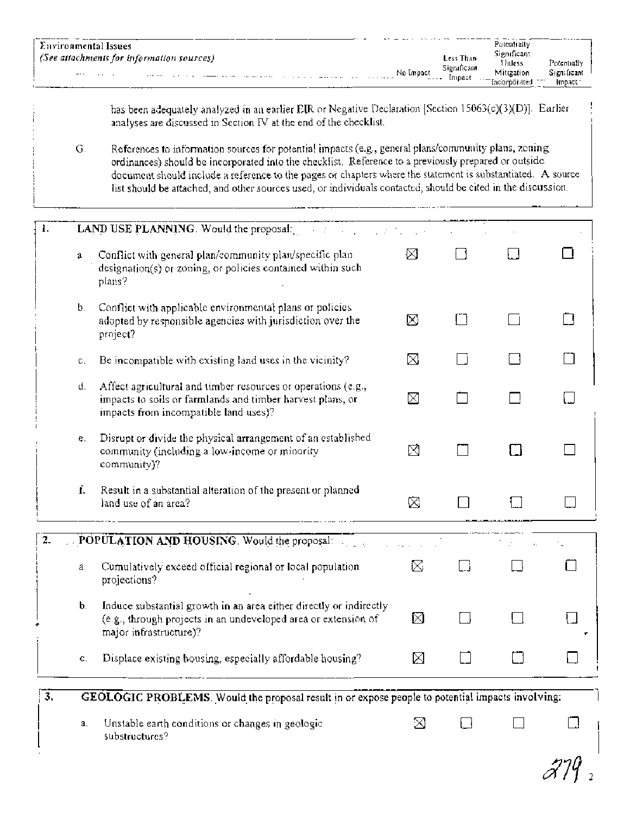| Environmental Issues                                                    |               |                       | Potentially                                            |                       |
|-------------------------------------------------------------------------|---------------|-----------------------|--------------------------------------------------------|-----------------------|
| . (See attachments for information sources).                            |               | Less Than             | Significant<br>Unless                                  | Potentially           |
| $- \cdot \cdot$<br>$\sim$<br>$\cdots$<br>$- - - - - - - - - - - -$<br>. | No Impact<br> | Sieraficant<br>Impact | Mitrzation<br>.<br>$- \cdot -$<br>lacoroorated<br>---- | Sign ficant<br>Impact |

has been adequately analyzed in an earlier EIR or Negative Declaration [Section 15063(c)(3)(D)]. Earlier analyses are discussed in Section IV at the end of the checklist.

References to information sources for potential impacts (e.g., general plans/community plans, zoning  $G.$ ordinances) should be incorporated into the checklist. Reference to a previously prepared or outside document should include a reference to the pages or chapters where the statement is substantiated. A source list should be attached, and other sources used, or individuals contacted, should be cited in the discussion.

| 1.               |    | LAND USE PLANNING. Would the proposal:<br><b>SACTO</b>                                                                                                               |    |                          |                |  |
|------------------|----|----------------------------------------------------------------------------------------------------------------------------------------------------------------------|----|--------------------------|----------------|--|
|                  | a  | Conflict with general plan/community plan/specific plan<br>designation(s) or zoning, or policies contained within such<br>plans?                                     | ⊠  |                          |                |  |
|                  | b. | Conflict with applicable environmental plans or policies<br>adopted by responsible agencies with jurisdiction over the<br>project?                                   | ⊠  | רי                       | $\blacksquare$ |  |
|                  | с. | Be incompatible with existing land uses in the vicinity?                                                                                                             | ⊠  |                          |                |  |
|                  | d. | Affect agricultural and timber resources or operations (e.g.,<br>impacts to soils or farmlands and timber harvest plans, or<br>impacts from incompatible land uses)? | ⊠  |                          |                |  |
|                  | e. | Disrupt or divide the physical arrangement of an established<br>community (including a low-income or minority<br>community)?                                         | ⊠  |                          | П              |  |
|                  | f. | Result in a substantial alteration of the present or planned<br>land use of an area?                                                                                 | Ŵ. |                          |                |  |
| 2.               |    | POPULATION AND HOUSING. Would the proposal:                                                                                                                          |    |                          |                |  |
|                  | a. | Cumulatively exceed official regional or local population<br>projections?                                                                                            | R. | $\overline{\phantom{a}}$ |                |  |
|                  | b. | Induce substantial growth in an area either directly or indirectly<br>(e.g., through projects in an undeveloped area or extension of<br>major infrastructure)?       | ⊠  |                          |                |  |
|                  | ¢. | Displace existing housing, especially affordable housing?                                                                                                            | M  |                          |                |  |
| $\overline{3}$ , |    | GEOLOGIC PROBLEMS. Would the proposal result in or expose people to potential impacts involving:                                                                     |    |                          |                |  |
|                  | a. | Unstable earth conditions or changes in geologic.<br>substructures?                                                                                                  | ⊠  |                          |                |  |

 $Z\mathcal{V}$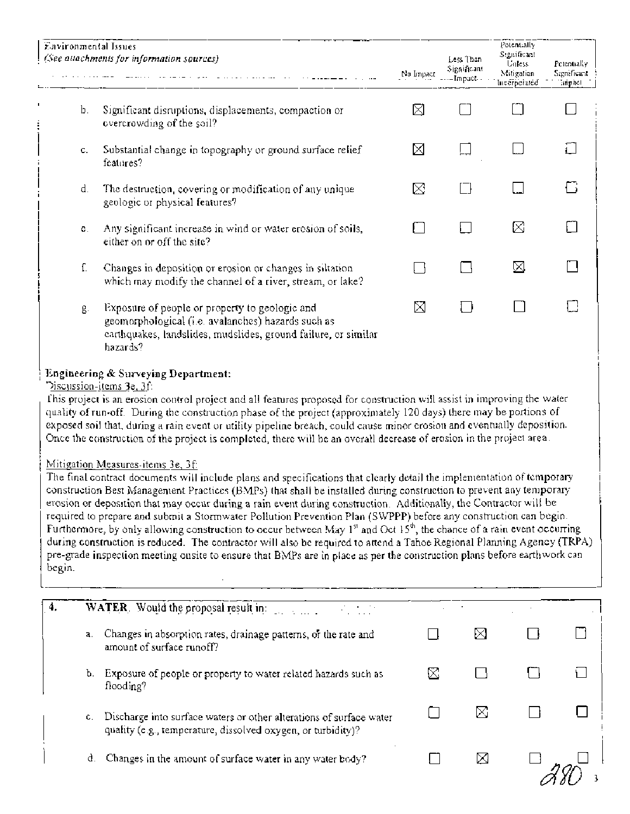| Environmental Issues | (See attachments for information sources)                                                                                                                                                                                                                                                                                                                                                                                                                                                                                                                                       | No Impact | Less Than<br>Significant<br>– Impact - | Potentially<br>Significant<br><b>Unless</b><br>Mitigation<br>Incerperated | Petentially<br>Significant<br>annact |
|----------------------|---------------------------------------------------------------------------------------------------------------------------------------------------------------------------------------------------------------------------------------------------------------------------------------------------------------------------------------------------------------------------------------------------------------------------------------------------------------------------------------------------------------------------------------------------------------------------------|-----------|----------------------------------------|---------------------------------------------------------------------------|--------------------------------------|
| b.                   | Significant disruptions, displacements, compaction or<br>overcrowding of the soil?                                                                                                                                                                                                                                                                                                                                                                                                                                                                                              | ⊠         |                                        |                                                                           |                                      |
| c.                   | Substantial change in topography or ground surface relief<br>features?                                                                                                                                                                                                                                                                                                                                                                                                                                                                                                          | ⊠         |                                        |                                                                           |                                      |
| d.                   | The destruction, covering or modification of any unique<br>geologic or physical features?                                                                                                                                                                                                                                                                                                                                                                                                                                                                                       | X         |                                        |                                                                           |                                      |
| С.                   | Any significant increase in wind or water erosion of soils,<br>either on or off the site?                                                                                                                                                                                                                                                                                                                                                                                                                                                                                       |           |                                        | ⊠                                                                         |                                      |
| ſ.                   | Changes in deposition or erosion or changes in siltation.<br>which may modify the channel of a river, stream, or lake?                                                                                                                                                                                                                                                                                                                                                                                                                                                          |           |                                        | ⊠                                                                         |                                      |
| $g_{\cdot}$          | Exposure of people or property to geologic and<br>geomorphological (i.e. avalanches) hazards such as<br>carthquakes, landslides, mudslides, ground failure, or similar<br>hazards?                                                                                                                                                                                                                                                                                                                                                                                              | ⊠         |                                        |                                                                           |                                      |
|                      | <b>Engineering &amp; Surveying Department:</b><br>Discussion-items 3e, 3f:<br>This project is an erosion control project and all features proposed for construction will assist in improving the water<br>quality of run-off. During the construction phase of the project (approximately 120 days) there may be portions of<br>exposed soil that, during a rain event or utility pipeline breach, could cause minor erosion and eventually deposition.<br>Once the construction of the project is completed, there will be an overall decrease of erosion in the project area. |           |                                        |                                                                           |                                      |

### Mitigation Measures-items 3e, 3f:

The final contract documents will include plans and specifications that clearly detail the implementation of temporary construction Best Management Practices (BMPs) that shall be installed during construction to prevent any temporary erosion or deposition that may occur during a rain event during construction. Additionally, the Contractor will be required to prepare and submit a Stormwater Pollution Prevention Plan (SWPPP) before any construction can begin. Furthermore, by only allowing construction to occur between May  $1<sup>st</sup>$  and Oct  $15<sup>th</sup>$ , the chance of a rain event occurring during construction is reduced. The contractor will also be required to attend a Tahoe Regional Planning Agency (TRPA) pre-grade inspection meeting onsite to ensure that BMPs are in place as per the construction plans before earthwork can begin.

|    | WATER. Would the proposal result in:                                                                                                |    |  |
|----|-------------------------------------------------------------------------------------------------------------------------------------|----|--|
| a. | Changes in absorption rates, drainage patterns, or the rate and<br>amount of surface runoff?                                        | ÞХ |  |
| b. | Exposure of people or property to water related hazards such as<br>flooding?                                                        |    |  |
| с. | Discharge into surface waters or other alterations of surface water<br>quality (e.g., temperature, dissolved oxygen, or turbidity)? | ⋉  |  |
| d. | Changes in the amount of surface water in any water body?                                                                           | ⋈  |  |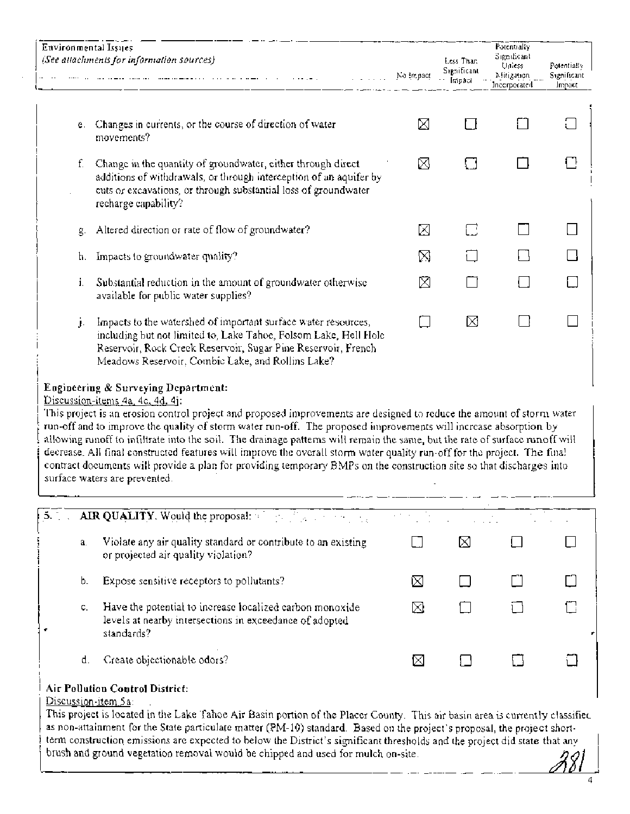|    | Environmental Issues<br>(See attachments for information sources)<br>Na impact                                                                                                                                                                                                                                                                                                                                                                                                                                                                                                   |   | Less Than<br>Significant<br>impaci | Potentially<br>Significant<br>Uniess<br>Mitigation<br>Incorporated | Potentially<br>Significant<br>Impact |
|----|----------------------------------------------------------------------------------------------------------------------------------------------------------------------------------------------------------------------------------------------------------------------------------------------------------------------------------------------------------------------------------------------------------------------------------------------------------------------------------------------------------------------------------------------------------------------------------|---|------------------------------------|--------------------------------------------------------------------|--------------------------------------|
| e. | Changes in currents, or the course of direction of water<br>movements?                                                                                                                                                                                                                                                                                                                                                                                                                                                                                                           | ⊠ |                                    |                                                                    |                                      |
| f. | Change in the quantity of groundwater, either through direct<br>additions of withdrawals, or through interception of an aquifer by<br>cuts or excavations, or through substantial loss of groundwater<br>recharge capability?                                                                                                                                                                                                                                                                                                                                                    | ⊠ |                                    |                                                                    |                                      |
| g. | Altered direction or rate of flow of groundwater?                                                                                                                                                                                                                                                                                                                                                                                                                                                                                                                                | ⊠ | C                                  |                                                                    |                                      |
| h. | Impacts to groundwater quality?                                                                                                                                                                                                                                                                                                                                                                                                                                                                                                                                                  | ⊠ |                                    |                                                                    |                                      |
| i. | Substantial reduction in the amount of groundwater otherwise<br>available for public water supplies?                                                                                                                                                                                                                                                                                                                                                                                                                                                                             | ⊠ |                                    |                                                                    |                                      |
| j. | Impacts to the watershed of important surface water resources,<br>including but not limited to, Lake Tahoe, Folsom Lake, Hell Hole<br>Reservoir, Rock Creek Reservoir, Sugar Pine Reservoir, French<br>Meadows Reservoir, Combic Lake, and Rollins Lake?                                                                                                                                                                                                                                                                                                                         |   | ⊠                                  |                                                                    |                                      |
|    | Engineering & Surveying Department:<br>Discussion-items 4a, 4c, 4d, 4j.<br>This project is an erosion control project and proposed improvements are designed to reduce the amount of storm water<br>run-off and to improve the quality of storm water run-off. The proposed improvements will increase absorption by<br>allowing runoff to infiltrate into the soil. The drainage patterns will remain the same, but the rate of surface runoff will<br>decrease. All final constructed features will improve the overall storm water quality run-off for the project. The final |   |                                    |                                                                    |                                      |

| 5.7< |    | AIR QUALITY. Would the proposal: $\mathbb{R}^n$ and $\mathbb{R}^n$ and $\mathbb{R}^n$ and $\mathbb{R}^n$                           | an an C |  |  |
|------|----|------------------------------------------------------------------------------------------------------------------------------------|---------|--|--|
|      | a. | Violate any air quality standard or contribute to an existing<br>or projected air quality violation?                               |         |  |  |
|      | b. | Expose sensitive receptors to pollutants?                                                                                          | IХ      |  |  |
|      | С. | Have the potential to increase localized carbon monoxide.<br>levels at nearby intersections in exceedance of adopted<br>standards? | M       |  |  |
|      | d. | Create objectionable odors?                                                                                                        |         |  |  |

# **Air Pollution Control District:**

surface waters are prevented.

Discussion-item *5* a: .

This project is located in the Lake Tahoe Air Basin portion of the Placer County. This air basin area is currently classified as non-attainment for the State particulate matter (PM-10) standard. Based on the project's proposal, the project shortterm construction emissions are expected to below the District's significant thresholds and the project did state that any brush and ground vegetation removal would be chipped and used for mulch on-site.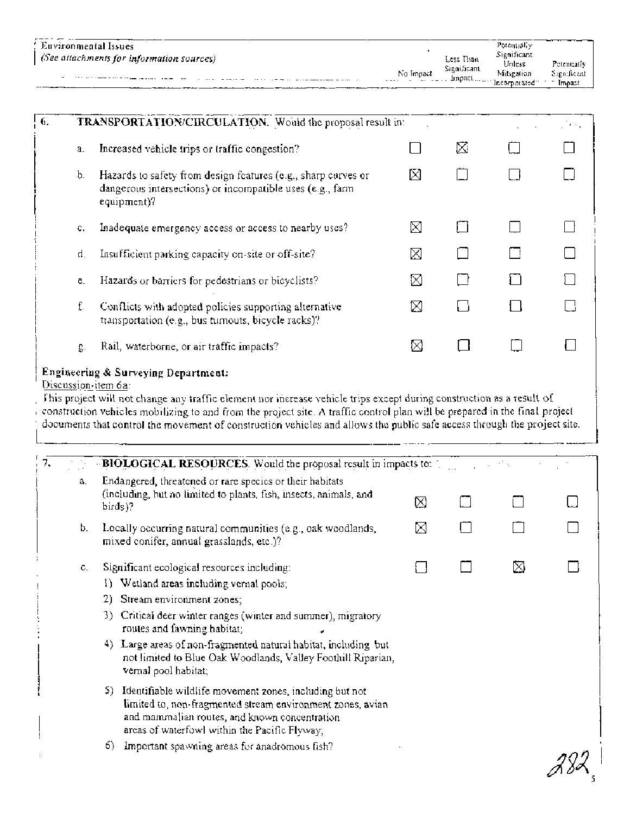| $_1$ (See attachments for information sources)<br>Significant<br>No Impact<br>The continuum of the company and the company of the continuum | Potentially<br>Significant<br>Less Than |                                       |
|---------------------------------------------------------------------------------------------------------------------------------------------|-----------------------------------------|---------------------------------------|
| [прасі <sub> </sub> .<br><br>$\cdots$<br>------<br>$\sim$ $    -$<br>$\cdots$ $\cdots$ $\cdots$<br>- --- -                                  | Unless<br>Mitsgation<br>Incorporated:   | Petentrally<br>Segnificant.<br>Impact |

| 6.                                                                                                                                                                                                                                                                                                                                                                                                                                             |         | TRANSPORTATION/CIRCULATION. Would the proposal result in:                                                                                 |   |   |  | ر د لات |  |
|------------------------------------------------------------------------------------------------------------------------------------------------------------------------------------------------------------------------------------------------------------------------------------------------------------------------------------------------------------------------------------------------------------------------------------------------|---------|-------------------------------------------------------------------------------------------------------------------------------------------|---|---|--|---------|--|
|                                                                                                                                                                                                                                                                                                                                                                                                                                                | a.      | Increased vehicle trips or traffic congestion?                                                                                            |   | ⊠ |  |         |  |
|                                                                                                                                                                                                                                                                                                                                                                                                                                                | b.      | Hazards to safety from design features (e.g., sharp curves or<br>dangerous intersections) or incompatible uses (e.g., farm<br>equipment)? | M |   |  |         |  |
|                                                                                                                                                                                                                                                                                                                                                                                                                                                | $C_{1}$ | Inadequate emergency access or access to nearby uses?                                                                                     | ⊠ |   |  |         |  |
|                                                                                                                                                                                                                                                                                                                                                                                                                                                | d.      | Insufficient parking capacity on-site or off-site?                                                                                        | ⊠ |   |  |         |  |
|                                                                                                                                                                                                                                                                                                                                                                                                                                                | e.      | Hazards or barriers for pedestrians or bicyclists?                                                                                        | ⊠ |   |  |         |  |
|                                                                                                                                                                                                                                                                                                                                                                                                                                                | f.      | Conflicts with adopted policies supporting alternative<br>transportation (e.g., bus tumouts, bicycle racks)?                              | ⊠ |   |  |         |  |
|                                                                                                                                                                                                                                                                                                                                                                                                                                                | g.      | Rail, waterborne, or air traffic impacts?                                                                                                 | ⊠ |   |  |         |  |
| Engineering & Surveying Department:<br>Discussion-item 6a:<br>This project will not change any traffic element nor increase vehicle trips except during construction as a result of<br>construction vehicles mobilizing to and from the project site. A traffic control plan will be prepared in the final project<br>documents that control the movement of construction vehicles and allows the public safe access through the project site. |         |                                                                                                                                           |   |   |  |         |  |
| 7.                                                                                                                                                                                                                                                                                                                                                                                                                                             |         | BIOLOGICAL RESOURCES. Would the proposal result in impacts to:                                                                            |   |   |  |         |  |
|                                                                                                                                                                                                                                                                                                                                                                                                                                                | a.      | Endangered, threatened or rare species or their habitats<br>(including, but no limited to plants, fish, insects, animals, and<br>birds)?  | ⊠ |   |  |         |  |

# b. Locally occurring natural communities (e.g., oak woodlands,  $[3, 1]$ mixed conifer, annual grasslands, etc.)?

| Significant ecological resources including:<br>υ. |  |  |  |  |  |
|---------------------------------------------------|--|--|--|--|--|
|---------------------------------------------------|--|--|--|--|--|

- 1) Wetland areas including vernal pools;
- 2) Stream environment zones;
- 3) Critical deer winter ranges (winter and summer), migratory routes and fawning habitat;
- 4) Large areas of non-fragmented natural habitat, including but not limited to Blue Oak Woodlands, Valley Foothill Riparian, vernal pool habitat;
- 5) Identifiable wildlife movement zones, including but not limited to, non-fragmented stream environment zones, avian<br>and mammalian routes, and known concentration and mammalian routes, and known concentration<br>areas of waterfowl within the Pacific Flyway;
	- 6) Important spawning areas for anadromous fish?

П

П

П

М

 $\Box$ 

m

Ñ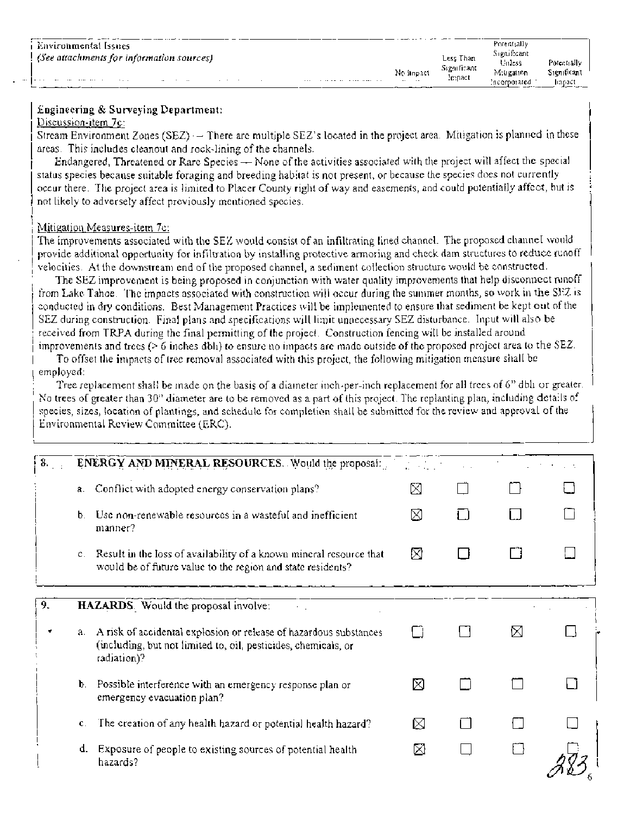| Environmental Issues                                                |                   |                       | Potentially           |             |
|---------------------------------------------------------------------|-------------------|-----------------------|-----------------------|-------------|
| (See attachments for information sources)                           |                   | Less Than             | Significant<br>Unless | Potentially |
|                                                                     | No finpact        | Significant<br>Impact | Mitigation            | Significant |
| .<br>$- \cdot$<br>$\sim$ $\sim$ $\sim$<br>$\cdots$<br>$\cdots$<br>. | $\cdots$ $\cdots$ |                       | Incorporated          | lingact     |

### **Engineering** & **Surveying Department:**

#### Discussion-item 7c:

Stream Environment Zones (SEZ)  $-$  There are multiple SEZ's located in the project area. Mitigation is planned in these areas. This includes cleanout and rock-lining of the channels.

Endangered, Threatened or Rare Species - None of the activities associated with the project will affect the special status species because suitable foraging and breeding habitat is not present, or because the species does not currently occur there. The project area is limited to Placer County right of way and easemenis, and could potentially affect, but is not likely to adversely affect previously mentioned species.

#### Mitigation Measures-item 7c:

The improvements associated with the SEZ would consist of an infiltrating lined channel. The proposed channel would provide additional opportunity for infiltration by installing protective armoring and check dam structures to reduce runoff velocities. At the downstream end of the proposed channel, a sediment collection structure would be constructed.

The SEZ improvement is being proposed in conjunction with water quality improvements that help disconnect runoff from Lake Tahoe. The impacts associated with construction will occur during the summer months, so work in the SEZ is conducted in dry conditions. Best Management Practices will be implemented to ensure that sediment be kept out of the SEZ during construction. Final plans and specifications will limit unnecessary SEZ disturbance. Input will also be received from TRPA during the final permitting of the project. Construction fencing will be installed around improvements and trees ( $> 6$  inches dbh) to ensure no impacts are made outside of the proposed project area to the SEZ.

To offset the impacts of tree removal associated with this project, the following mitigation measure shall be employed.

Tree replacement shall be made on the basis of a diameter inch-per-inch replacement for all trees of 6" dbh or greater. No trees of greater than 30" diameter are to be removed as a part of this project. The replanting plan, including details of species, sizes, location of planting, and schedule for completion shall be submitted for the review and approval of the Environmental Review Committee (ERC).

| 8. |                | <b>ENERGY AND MINERAL RESOURCES.</b> Would the proposal:                                                                                           |   |   |  |
|----|----------------|----------------------------------------------------------------------------------------------------------------------------------------------------|---|---|--|
|    | a.             | Conflict with adopted energy conservation plans?                                                                                                   | N |   |  |
|    | $\mathbf b$ .  | Use non-renewable resources in a wasteful and inefficient<br>manner?                                                                               | ⊠ |   |  |
|    |                | c. Result in the loss of availability of a known mineral resource that<br>would be of future value to the region and state residents?              | ⊠ |   |  |
| 9. |                | HAZARDS. Would the proposal involve:                                                                                                               |   |   |  |
|    | a.             | A risk of accidental explosion or release of hazardous substances<br>(including, but not limited to, oil, pesticides, chemicals, or<br>radiation)? |   | ⊠ |  |
|    | b.             | Possible interference with an emergency response plan or<br>emergency evacuation plan?                                                             | М |   |  |
|    | $\mathbf{c}$ . | The creation of any health hazard or potential health hazard?                                                                                      | ⊠ |   |  |
|    | d.             | Exposure of people to existing sources of potential health<br>hazards?                                                                             | ⊠ |   |  |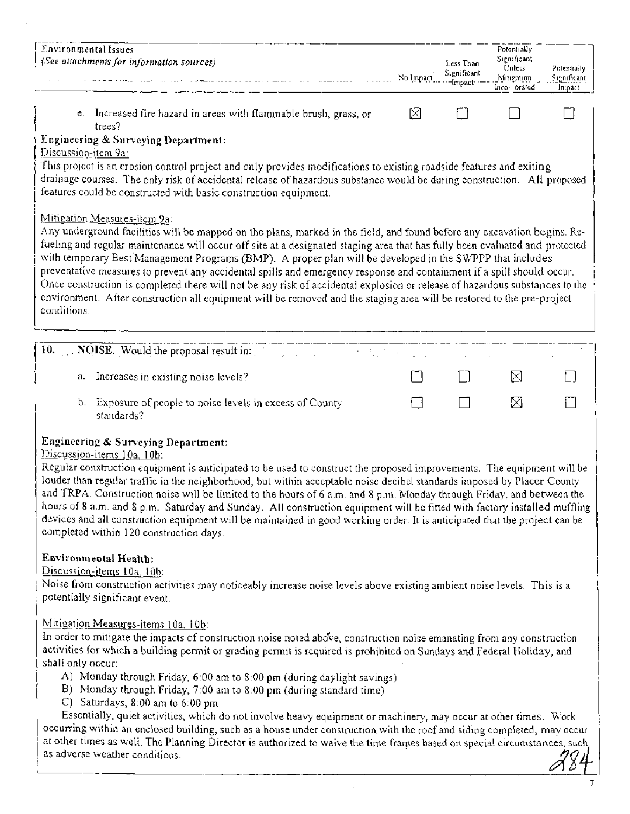| Environmental Issues                                                                                                                                                                                                                                                                                                                                                                                                                                                                                                                                                                                                                                                                                                                                                                                    |           |                      | Potentially           |             |
|---------------------------------------------------------------------------------------------------------------------------------------------------------------------------------------------------------------------------------------------------------------------------------------------------------------------------------------------------------------------------------------------------------------------------------------------------------------------------------------------------------------------------------------------------------------------------------------------------------------------------------------------------------------------------------------------------------------------------------------------------------------------------------------------------------|-----------|----------------------|-----------------------|-------------|
| (See attachments for information sources)                                                                                                                                                                                                                                                                                                                                                                                                                                                                                                                                                                                                                                                                                                                                                               |           | Less Than            | Significant<br>Unless | Potentrally |
|                                                                                                                                                                                                                                                                                                                                                                                                                                                                                                                                                                                                                                                                                                                                                                                                         | No Impact | Significant<br>mpact | Mitigation            | Significant |
|                                                                                                                                                                                                                                                                                                                                                                                                                                                                                                                                                                                                                                                                                                                                                                                                         |           |                      | Inco-orated           | Impact.     |
| e. Increased fire hazard in areas with flammable brush, grass, or<br>trees?                                                                                                                                                                                                                                                                                                                                                                                                                                                                                                                                                                                                                                                                                                                             | M         |                      |                       |             |
| Engineering & Surveying Department:<br>Discussion-item 9a:<br>This project is an erosion control project and only provides modifications to existing roadside features and exiting<br>drainage courses. The only risk of accidental release of hazardous substance would be during construction. All proposed<br>features could be constructed with basic construction equipment.                                                                                                                                                                                                                                                                                                                                                                                                                       |           |                      |                       |             |
| Mitigation Measures-item 9a:<br>Any underground facilities will be mapped on the plans, marked in the field, and found before any excavation begins. Re-<br>fueling and regular maintenance will occur off site at a designated staging area that has fully been evaluated and protected<br>with temporary Best Management Programs (BMP). A proper plan will be developed in the SWPPP that includes<br>preventative measures to prevent any accidental spills and emergency response and containment if a spill should occur.<br>Once construction is completed there will not be any risk of accidental explosion or release of hazardous substances to the<br>environment. After construction all equipment will be removed and the staging area will be restored to the pre-project<br>conditions. |           |                      |                       |             |
| 10.<br>NOISE. Would the proposal result in:                                                                                                                                                                                                                                                                                                                                                                                                                                                                                                                                                                                                                                                                                                                                                             |           |                      |                       |             |
|                                                                                                                                                                                                                                                                                                                                                                                                                                                                                                                                                                                                                                                                                                                                                                                                         |           |                      |                       |             |
| Increases in existing noise levels?<br>a.                                                                                                                                                                                                                                                                                                                                                                                                                                                                                                                                                                                                                                                                                                                                                               |           |                      | ⊠                     |             |
| Exposure of people to noise levels in excess of County<br>b.,<br>standards?                                                                                                                                                                                                                                                                                                                                                                                                                                                                                                                                                                                                                                                                                                                             |           |                      | ⊠                     |             |
| Engineering & Surveying Department:<br>Discussion-items 10a, 10b:<br>Regular construction equipment is anticipated to be used to construct the proposed improvements. The equipment will be<br>louder than regular traffic in the neighborhood, but within acceptable noise decibel standards imposed by Placer County<br>and TRPA. Construction noise will be limited to the hours of 6 a.m. and 8 p.m. Monday through Friday, and between the<br>hours of 8 a.m. and 8 p.m. Saturday and Sunday. All construction equipment will be fitted with factory installed muffling<br>devices and all construction equipment will be maintained in good working order. It is anticipated that the project can be<br>completed within 120 construction days.                                                   |           |                      |                       |             |
| Environmental Health:<br>Discussion-items 10a, 10b:<br>Noise from construction activities may noticeably increase noise levels above existing ambient noise levels. This is a<br>potentially significant event.                                                                                                                                                                                                                                                                                                                                                                                                                                                                                                                                                                                         |           |                      |                       |             |
| Mitigation Measures-items 10a, 10b:<br>In order to mitigate the impacts of construction noise noted above, construction noise emanating from any construction<br>activities for which a building permit or grading permit is required is prohibited on Sundays and Federal Holiday, and<br>shall only occur:                                                                                                                                                                                                                                                                                                                                                                                                                                                                                            |           |                      |                       |             |
| A) Monday through Friday, 6:00 am to 8:00 pm (during daylight savings)<br>B) Monday through Friday, 7:00 am to 8:00 pm (during standard time)<br>C) Saturdays, $8:00$ am to $6:00$ pm<br>Essentially, quiet activities, which do not involve heavy equipment or machinery, may occur at other times. Work<br>occurring within an enclosed building, such as a house under construction with the roof and siding completed, may occur<br>at other times as well. The Planning Director is authorized to waive the time frames based on special circumstances, such,<br>as adverse weather conditions.                                                                                                                                                                                                    |           |                      |                       |             |
|                                                                                                                                                                                                                                                                                                                                                                                                                                                                                                                                                                                                                                                                                                                                                                                                         |           |                      |                       |             |

 $\hat{\mathcal{A}}$ 

*<sup>7</sup>*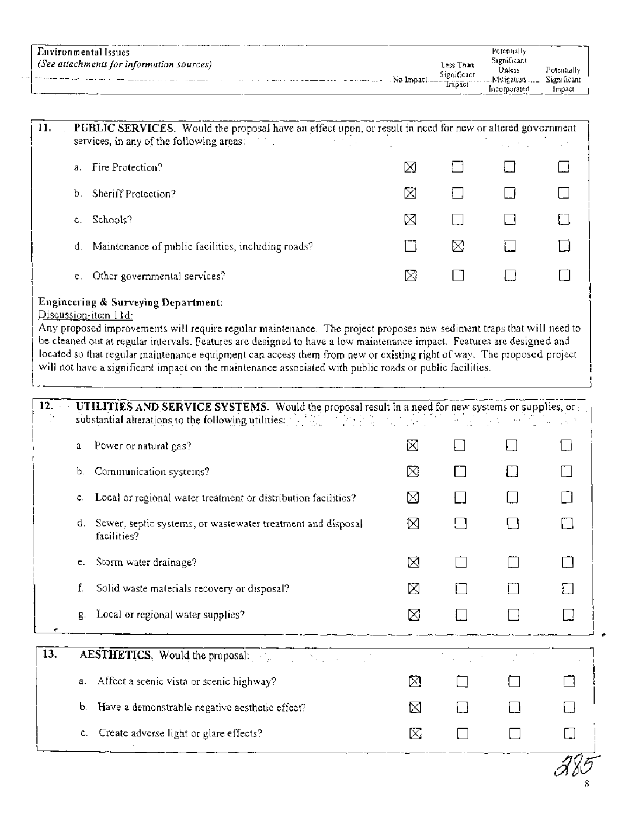|                                                 |           |               | Petentially |             |  |
|-------------------------------------------------|-----------|---------------|-------------|-------------|--|
| Environmental Issues                            |           |               |             |             |  |
| $\pm$ (See attachments for information sources) |           | Less Than     | Stenificant |             |  |
|                                                 |           | Significant   | Unless      | Potentially |  |
| . <b> </b><br>. .                               | No Impact | <b>Impact</b> |             | Significant |  |
| ——                                              |           |               | incomorated | Impact      |  |

| 11.<br>PUBLIC SERVICES. Would the proposal have an effect upon, or result in need for new or altered government<br>services, in any of the following areas: |   |    |  |
|-------------------------------------------------------------------------------------------------------------------------------------------------------------|---|----|--|
| Fire Protection?<br>$a_{-}$                                                                                                                                 | ⊠ | ŧ. |  |
| Sheriff Protection?<br>b.                                                                                                                                   | ⊠ | ŧ. |  |
| -Schools?<br>C.                                                                                                                                             | ⊠ |    |  |
| Maintenance of public facilities, including roads?<br>₫.                                                                                                    |   | X  |  |
| Other governmental services?<br>e.                                                                                                                          | ⊠ |    |  |
| <b>Engineering &amp; Surveying Department:</b>                                                                                                              |   |    |  |

Discussion-item 11d.

Any proposed improvements will require regular maintenance. The project proposes new sediment traps that will need to be cleaned out at regular intervals. Features are designed to have a low maintenance impact. Features are designed and located so that regular maintenance equipment can access them from new or existing right of way. The proposed project will not have a significant impact on the maintenance associated with public roads or public facilities.

| 12. |    | UTILITIES AND SERVICE SYSTEMS. Would the proposal result in a need for new systems or supplies, or $\pm$<br>substantial alterations to the following utilities: Alternative and the contract of                                     |   |  |  |
|-----|----|-------------------------------------------------------------------------------------------------------------------------------------------------------------------------------------------------------------------------------------|---|--|--|
|     | a  | Power or natural gas?                                                                                                                                                                                                               | ⊠ |  |  |
|     | b. | Communication systems?                                                                                                                                                                                                              | ⊠ |  |  |
|     | С. | Local or regional water treatment or distribution facilities?                                                                                                                                                                       | ⊠ |  |  |
|     | d. | Sewer, septic systems, or wastewater treatment and disposal<br>facilities?                                                                                                                                                          | ⊠ |  |  |
|     | e. | Storm water drainage?                                                                                                                                                                                                               | ⊠ |  |  |
|     | f. | Solid waste materials recovery or disposal?                                                                                                                                                                                         | ⊠ |  |  |
|     | g. | Local or regional water supplies?                                                                                                                                                                                                   | ⊠ |  |  |
| 13. |    | <b>AESTHETICS.</b> Would the proposal: All and the state of the state of the state of the state of the state of the state of the state of the state of the state of the state of the state of the state of the state of the state o |   |  |  |
|     | a. | Affect a scenic vista or scenic highway?                                                                                                                                                                                            | ⊠ |  |  |
|     | b. | Have a demonstrable negative aesthetic effect?                                                                                                                                                                                      | ⊠ |  |  |
|     | c. | Create adverse light or glare effects?                                                                                                                                                                                              | ⊠ |  |  |
|     |    |                                                                                                                                                                                                                                     |   |  |  |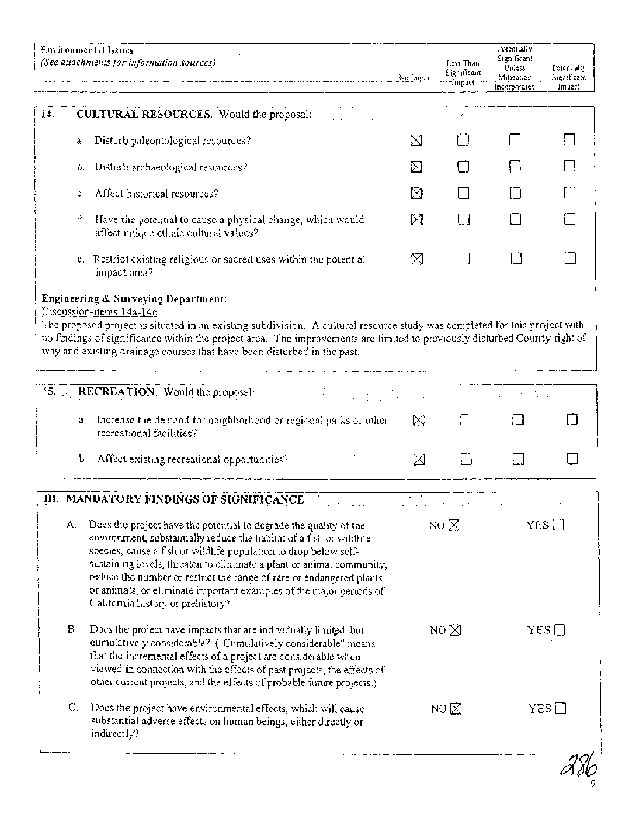| 14.<br>CULTURAL RESOURCES. Would the proposal:<br>Disturb paleontological resources?<br>a.<br>Disturb archaeological resources?<br>b.<br>Affect historical resources?<br>Have the potential to cause a physical change, which would<br>₫.<br>affect unique ethnic cultural values?<br>e. Restrict existing religious or sacred uses within the potential<br>impact area?<br>Engineering & Surveying Department:<br>Discussion-items 14a-14e:<br>The proposed project is situated in an existing subdivision. A cultural resource study was completed for this project with<br>no findings of significance within the project area. The improvements are limited to previously disturbed County right of<br>way and existing drainage courses that have been disturbed in the past.<br>15.<br>RECREATION. Would the proposal:<br>Increase the demand for neighborhood or regional parks or other<br>a.<br>recreational facilities?<br>Ъ.<br>Affect existing recreational opportunities?<br>III. MANDATORY FINDINGS OF SIGNIFICANCE<br>a spelari<br>Does the project have the potential to degrade the quality of the<br>А.<br>environment, substantially reduce the habitat of a fish or wildlife<br>species, cause a fish or wildlife population to drop below self-<br>sustaining levels, threaten to eliminate a plant or animal community,<br>reduce the number or restrict the range of rare or endangered plants<br>or animals, or eliminate important examples of the major periods of<br>California history or prehistory? | M<br>⊠<br>⊠<br>M<br>⊠<br>⊠<br>⊠ |                |              |
|-----------------------------------------------------------------------------------------------------------------------------------------------------------------------------------------------------------------------------------------------------------------------------------------------------------------------------------------------------------------------------------------------------------------------------------------------------------------------------------------------------------------------------------------------------------------------------------------------------------------------------------------------------------------------------------------------------------------------------------------------------------------------------------------------------------------------------------------------------------------------------------------------------------------------------------------------------------------------------------------------------------------------------------------------------------------------------------------------------------------------------------------------------------------------------------------------------------------------------------------------------------------------------------------------------------------------------------------------------------------------------------------------------------------------------------------------------------------------------------------------------------------------------------|---------------------------------|----------------|--------------|
|                                                                                                                                                                                                                                                                                                                                                                                                                                                                                                                                                                                                                                                                                                                                                                                                                                                                                                                                                                                                                                                                                                                                                                                                                                                                                                                                                                                                                                                                                                                                   |                                 |                |              |
|                                                                                                                                                                                                                                                                                                                                                                                                                                                                                                                                                                                                                                                                                                                                                                                                                                                                                                                                                                                                                                                                                                                                                                                                                                                                                                                                                                                                                                                                                                                                   |                                 |                |              |
|                                                                                                                                                                                                                                                                                                                                                                                                                                                                                                                                                                                                                                                                                                                                                                                                                                                                                                                                                                                                                                                                                                                                                                                                                                                                                                                                                                                                                                                                                                                                   |                                 |                |              |
|                                                                                                                                                                                                                                                                                                                                                                                                                                                                                                                                                                                                                                                                                                                                                                                                                                                                                                                                                                                                                                                                                                                                                                                                                                                                                                                                                                                                                                                                                                                                   |                                 |                |              |
|                                                                                                                                                                                                                                                                                                                                                                                                                                                                                                                                                                                                                                                                                                                                                                                                                                                                                                                                                                                                                                                                                                                                                                                                                                                                                                                                                                                                                                                                                                                                   |                                 |                |              |
|                                                                                                                                                                                                                                                                                                                                                                                                                                                                                                                                                                                                                                                                                                                                                                                                                                                                                                                                                                                                                                                                                                                                                                                                                                                                                                                                                                                                                                                                                                                                   |                                 |                |              |
|                                                                                                                                                                                                                                                                                                                                                                                                                                                                                                                                                                                                                                                                                                                                                                                                                                                                                                                                                                                                                                                                                                                                                                                                                                                                                                                                                                                                                                                                                                                                   |                                 |                |              |
|                                                                                                                                                                                                                                                                                                                                                                                                                                                                                                                                                                                                                                                                                                                                                                                                                                                                                                                                                                                                                                                                                                                                                                                                                                                                                                                                                                                                                                                                                                                                   |                                 |                |              |
|                                                                                                                                                                                                                                                                                                                                                                                                                                                                                                                                                                                                                                                                                                                                                                                                                                                                                                                                                                                                                                                                                                                                                                                                                                                                                                                                                                                                                                                                                                                                   |                                 |                |              |
|                                                                                                                                                                                                                                                                                                                                                                                                                                                                                                                                                                                                                                                                                                                                                                                                                                                                                                                                                                                                                                                                                                                                                                                                                                                                                                                                                                                                                                                                                                                                   |                                 |                |              |
|                                                                                                                                                                                                                                                                                                                                                                                                                                                                                                                                                                                                                                                                                                                                                                                                                                                                                                                                                                                                                                                                                                                                                                                                                                                                                                                                                                                                                                                                                                                                   | NQ                              |                | $YES$ $\Box$ |
| В.<br>Does the project have impacts that are individually limited, but<br>cumulatively considerable? ("Cumulatively considerable" means<br>that the incremental effects of a project are considerable when<br>viewed in connection with the effects of past projects, the effects of<br>other current projects, and the effects of probable future projects.)                                                                                                                                                                                                                                                                                                                                                                                                                                                                                                                                                                                                                                                                                                                                                                                                                                                                                                                                                                                                                                                                                                                                                                     | NO $\boxtimes$                  |                | YES []       |
| С.<br>Does the project have environmental effects, which will cause<br>substantial adverse effects on human beings, either directly or<br>indirectly?                                                                                                                                                                                                                                                                                                                                                                                                                                                                                                                                                                                                                                                                                                                                                                                                                                                                                                                                                                                                                                                                                                                                                                                                                                                                                                                                                                             |                                 | NO $\boxtimes$ | $YES$ $\Box$ |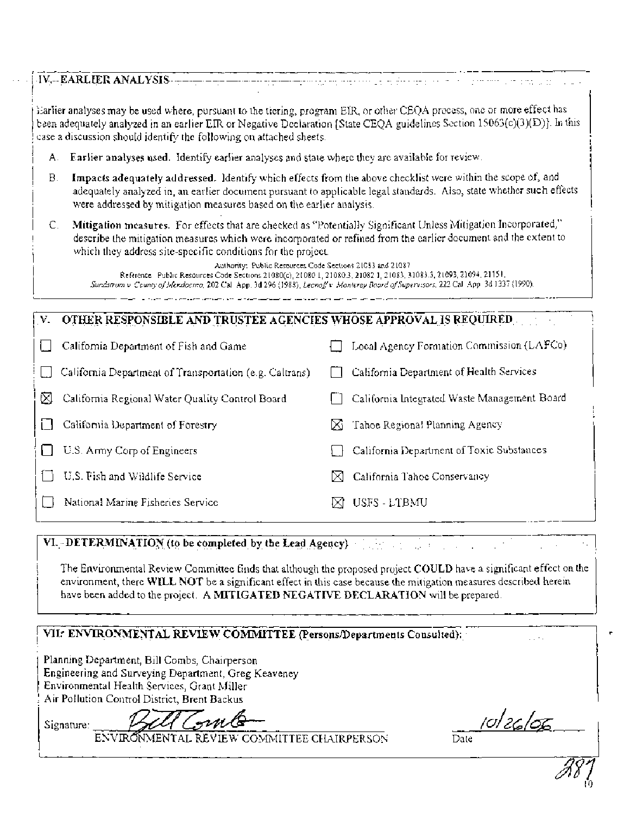| tijd op de staan de begin de begin de begin de begin de begin de begin de begin de begin de begin de begin de<br>De begin de begin de begin de begin de begin de begin de begin de begin de begin de begin de begin de begin de                                                                                                                                                                                                                                                                                                                                                                                               |
|-------------------------------------------------------------------------------------------------------------------------------------------------------------------------------------------------------------------------------------------------------------------------------------------------------------------------------------------------------------------------------------------------------------------------------------------------------------------------------------------------------------------------------------------------------------------------------------------------------------------------------|
| Earlier analyses may be used where, pursuant to the tiering, program EIR, or other CEQA precess, one or more effect has<br>been adequately analyzed in an earlier EIR or Negative Declaration [State CEQA guidelines Section 15063(c)(3)(D)]. In this<br>case a discussion should identify the following on attached sheets.                                                                                                                                                                                                                                                                                                  |
| <b>Farlier analyses used.</b> Identify earlier analyses and state where they are available for review.                                                                                                                                                                                                                                                                                                                                                                                                                                                                                                                        |
| Impacts adequately addressed. Identify which effects from the above checklist were within the scope of, and<br>adequately analyzed in, an earlier document pursuant to applicable legal standards. Also, state whether such effects<br>were addressed by mitigation measures based on the earlier analysis.                                                                                                                                                                                                                                                                                                                   |
| Mitigation measures. For effects that are checked as "Potentially Significant Unless Mitigation Incorporated,"<br>describe the mitigation measures which were incorporated or refined from the earlier document and the extent to<br>which they address site-specific conditions for the project.<br>Authority: Public Resources Code Sections 21083 and 21087<br>Reference Public Resources Code Sections 21080(c), 21080 1, 21080.3, 21082 1, 21083, 31083.3, 21093, 21094, 21151,<br>Sundstrom v County of Meralocino, 202 Cal. App. 3d 296 (1988), Leonoff v Monterey Board of Supervisors, 222 Cal. App. 3d 1337 (1990). |
|                                                                                                                                                                                                                                                                                                                                                                                                                                                                                                                                                                                                                               |
| OTHER RESPONSIBLE AND TRUSTEE AGENCIES WHOSE APPROVAL IS REQUIRED.                                                                                                                                                                                                                                                                                                                                                                                                                                                                                                                                                            |
| Local Agency Formation Commission (LAFCo)                                                                                                                                                                                                                                                                                                                                                                                                                                                                                                                                                                                     |
| California Department of Health Services                                                                                                                                                                                                                                                                                                                                                                                                                                                                                                                                                                                      |
| California Integrated Waste Management Board                                                                                                                                                                                                                                                                                                                                                                                                                                                                                                                                                                                  |
| Tahoe Regional Planning Agency<br>DΖ                                                                                                                                                                                                                                                                                                                                                                                                                                                                                                                                                                                          |
| California Department of Toxic Substances                                                                                                                                                                                                                                                                                                                                                                                                                                                                                                                                                                                     |
|                                                                                                                                                                                                                                                                                                                                                                                                                                                                                                                                                                                                                               |

National Marine Fisheries Service  $\boxtimes$  USFS - LTBMU

## **VI. DETERMINATION (to be completed by the Lead Agency)**

The Environmental Review Committee finds that although the proposed project COULD have a significant effect on the environment, there WILL NOT be a significant effect in this case because the mitigation measures described herein have been added to the project. A MITIGATED **NEGATIVE DECLARATION** will be prepared.

 $\frac{1}{2\sqrt{2}}$  .

# VII: ENVIRONMENTAL REVIEW COMMITTEE (Persons/Departments Consulted):

Planning Department, Bill Combs, Chairperson Engineering and Surveying Department, Greg Keaveney Environmental Health Services, Grant Miller Air Pollution Control District, Brent Backus

BILI GUNG<br>ENVIRONMENTAL REVIEW COMMITTEE CHAIRPERSON Date الاسور Signature:

i.

**r**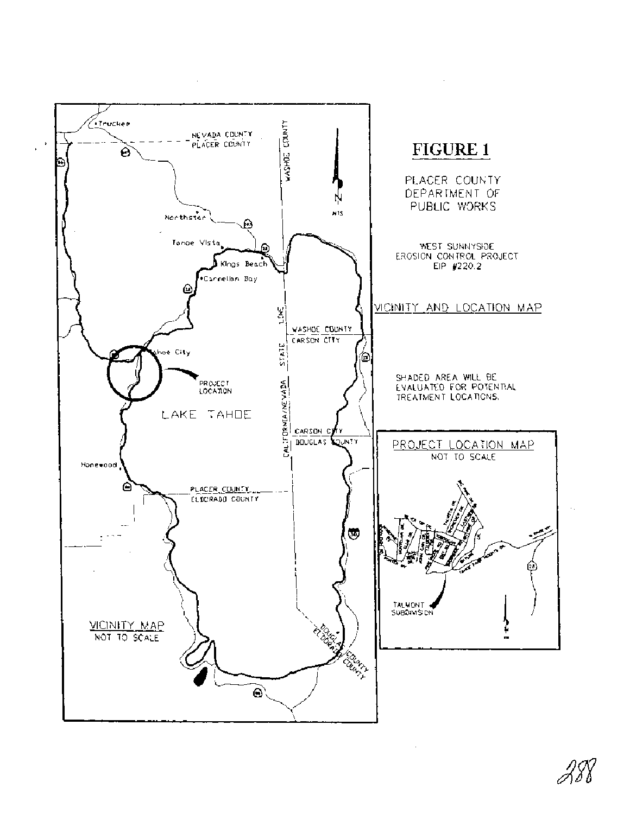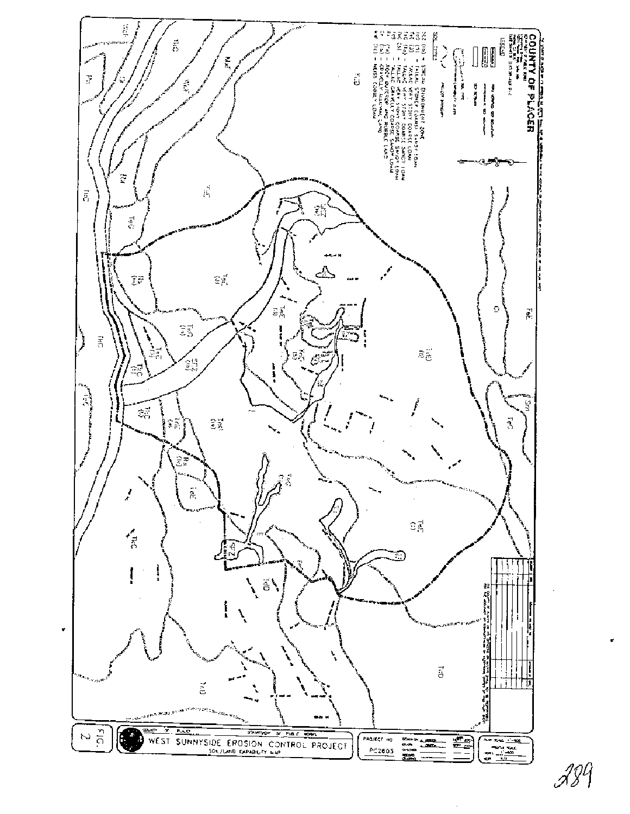

I ? (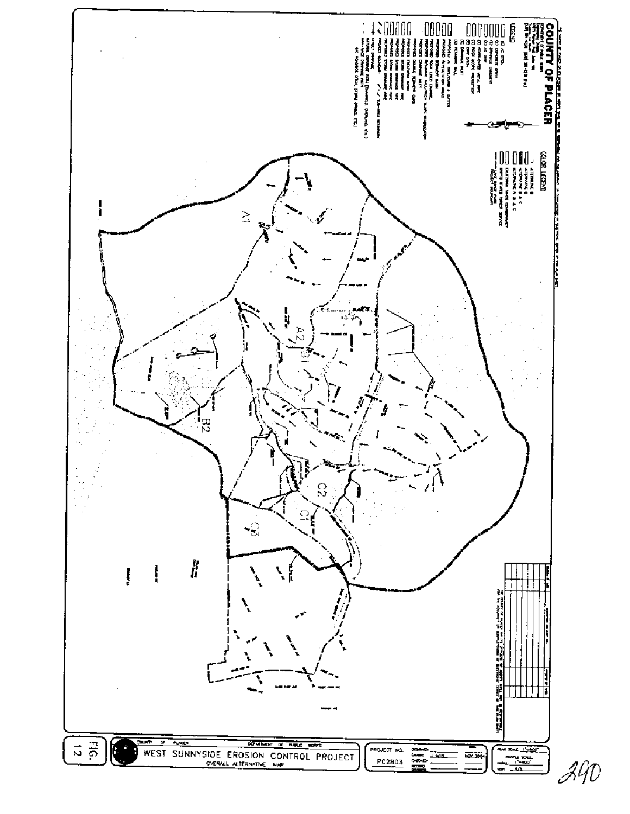